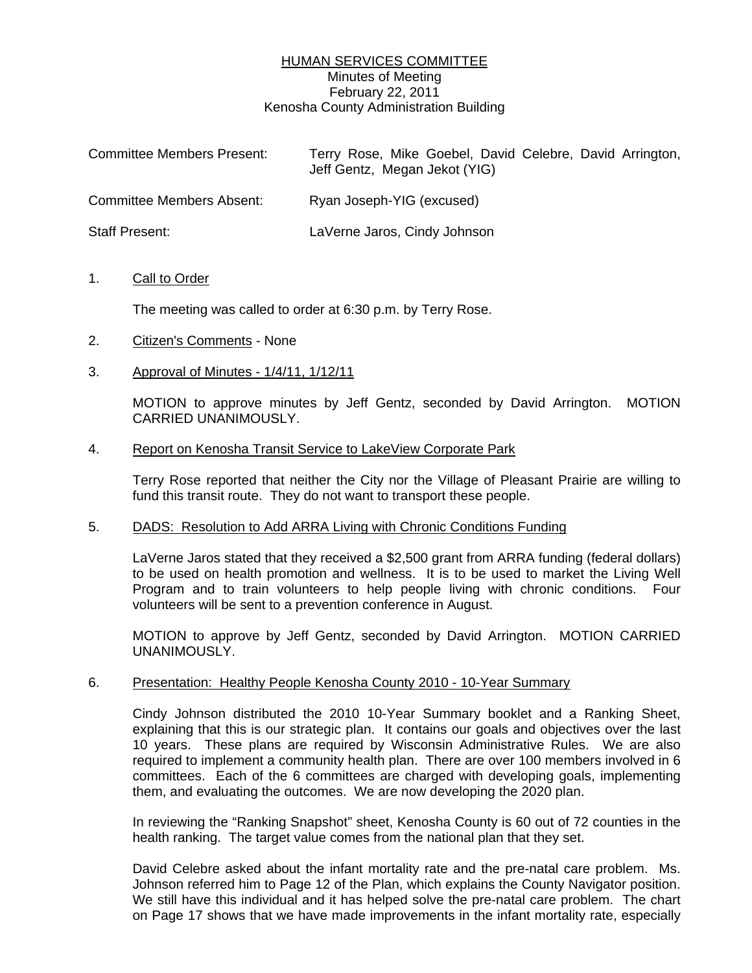# HUMAN SERVICES COMMITTEE Minutes of Meeting February 22, 2011 Kenosha County Administration Building

| <b>Committee Members Present:</b> | Terry Rose, Mike Goebel, David Celebre, David Arrington,<br>Jeff Gentz, Megan Jekot (YIG) |
|-----------------------------------|-------------------------------------------------------------------------------------------|
| <b>Committee Members Absent:</b>  | Ryan Joseph-YIG (excused)                                                                 |
| <b>Staff Present:</b>             | LaVerne Jaros, Cindy Johnson                                                              |

## 1. Call to Order

The meeting was called to order at 6:30 p.m. by Terry Rose.

- 2. Citizen's Comments None
- 3. Approval of Minutes 1/4/11, 1/12/11

 MOTION to approve minutes by Jeff Gentz, seconded by David Arrington. MOTION CARRIED UNANIMOUSLY.

## 4. Report on Kenosha Transit Service to LakeView Corporate Park

 Terry Rose reported that neither the City nor the Village of Pleasant Prairie are willing to fund this transit route. They do not want to transport these people.

#### 5. DADS: Resolution to Add ARRA Living with Chronic Conditions Funding

 LaVerne Jaros stated that they received a \$2,500 grant from ARRA funding (federal dollars) to be used on health promotion and wellness. It is to be used to market the Living Well Program and to train volunteers to help people living with chronic conditions. Four volunteers will be sent to a prevention conference in August.

 MOTION to approve by Jeff Gentz, seconded by David Arrington. MOTION CARRIED UNANIMOUSLY.

#### 6. Presentation: Healthy People Kenosha County 2010 - 10-Year Summary

 Cindy Johnson distributed the 2010 10-Year Summary booklet and a Ranking Sheet, explaining that this is our strategic plan. It contains our goals and objectives over the last 10 years. These plans are required by Wisconsin Administrative Rules. We are also required to implement a community health plan. There are over 100 members involved in 6 committees. Each of the 6 committees are charged with developing goals, implementing them, and evaluating the outcomes. We are now developing the 2020 plan.

 In reviewing the "Ranking Snapshot" sheet, Kenosha County is 60 out of 72 counties in the health ranking. The target value comes from the national plan that they set.

 David Celebre asked about the infant mortality rate and the pre-natal care problem. Ms. Johnson referred him to Page 12 of the Plan, which explains the County Navigator position. We still have this individual and it has helped solve the pre-natal care problem. The chart on Page 17 shows that we have made improvements in the infant mortality rate, especially